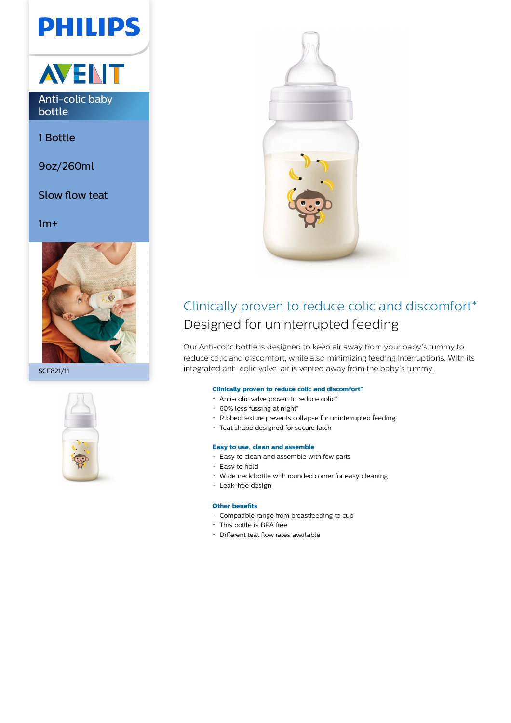# **PHILIPS**



1 Bottle

9oz/260ml

Slow flow teat

 $1m+$ 



SCF821/11





### Clinically proven to reduce colic and discomfort\* Designed for uninterrupted feeding

Our Anti-colic bottle is designed to keep air away from your baby's tummy to reduce colic and discomfort, while also minimizing feeding interruptions. With its integrated anti-colic valve, air is vented away from the baby's tummy.

#### **Clinically proven to reduce colic and discomfort\***

- Anti-colic valve proven to reduce colic\*
- $\cdot$  60% less fussing at night\*
- Ribbed texture prevents collapse for uninterrupted feeding
- Teat shape designed for secure latch

#### **Easy to use, clean and assemble**

- Easy to clean and assemble with few parts
- Easy to hold
- Wide neck bottle with rounded corner for easy cleaning
- Leak-free design

#### **Other benefits**

- Compatible range from breastfeeding to cup
- This bottle is BPA free
- Different teat flow rates available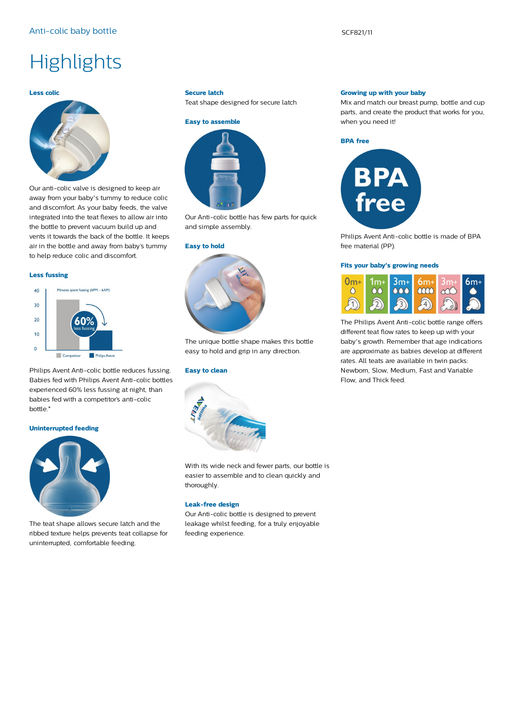## **Highlights**

#### **Less colic**



Our anti-colic valve is designed to keep air away from your baby's tummy to reduce colic and discomfort. As your baby feeds, the valve integrated into the teat flexes to allow air into the bottle to prevent vacuum build up and vents it towards the back of the bottle. It keeps air in the bottle and away from baby's tummy to help reduce colic and discomfort.

#### **Less fussing**

#### Minutes spent fussing (6PM - 6AM)  $40$  $30$  $20$  $10$  $\Omega$  $\Box$  Co **Philips Avent**

Philips Avent Anti-colic bottle reduces fussing. Babies fed with Philips Avent Anti-colic bottles experienced 60% less fussing at night, than babies fed with a competitor's anti-colic bottle.\*

#### **Uninterrupted feeding**



The teat shape allows secure latch and the ribbed texture helps prevents teat collapse for uninterrupted, comfortable feeding.

#### **Secure latch**

Teat shape designed for secure latch



Our Anti-colic bottle has few parts for quick and simple assembly.

#### **Easy to hold**



The unique bottle shape makes this bottle easy to hold and grip in any direction.

#### **Easy to clean**



With its wide neck and fewer parts, our bottle is easier to assemble and to clean quickly and thoroughly.

#### **Leak-free design**

Our Anti-colic bottle is designed to prevent leakage whilst feeding, for a truly enjoyable feeding experience.

#### **Growing up with your baby**

Mix and match our breast pump, bottle and cup parts, and create the product that works for you, when you need it!





Philips Avent Anti-colic bottle is made of BPA free material (PP).

#### **Fits your baby's growing needs**



The Philips Avent Anti-colic bottle range offers different teat flow rates to keep up with your baby's growth. Remember that age indications are approximate as babies develop at different rates. All teats are available in twin packs: Newborn, Slow, Medium, Fast and Variable Flow, and Thick feed.